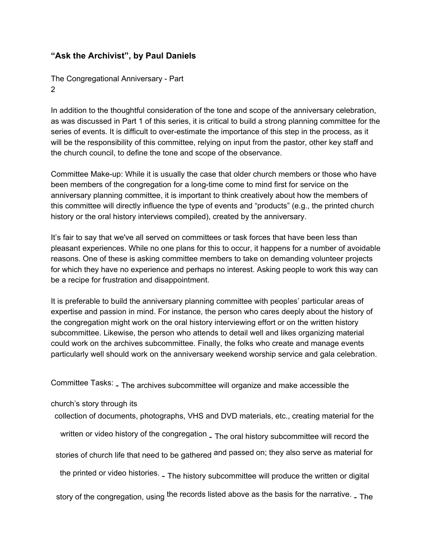## **"Ask the Archivist", by Paul Daniels**

The Congregational Anniversary - Part 2

In addition to the thoughtful consideration of the tone and scope of the anniversary celebration, as was discussed in Part 1 of this series, it is critical to build a strong planning committee for the series of events. It is difficult to over-estimate the importance of this step in the process, as it will be the responsibility of this committee, relying on input from the pastor, other key staff and the church council, to define the tone and scope of the observance.

Committee Make-up: While it is usually the case that older church members or those who have been members of the congregation for a long-time come to mind first for service on the anniversary planning committee, it is important to think creatively about how the members of this committee will directly influence the type of events and "products" (e.g., the printed church history or the oral history interviews compiled), created by the anniversary.

It's fair to say that we've all served on committees or task forces that have been less than pleasant experiences. While no one plans for this to occur, it happens for a number of avoidable reasons. One of these is asking committee members to take on demanding volunteer projects for which they have no experience and perhaps no interest. Asking people to work this way can be a recipe for frustration and disappointment.

It is preferable to build the anniversary planning committee with peoples' particular areas of expertise and passion in mind. For instance, the person who cares deeply about the history of the congregation might work on the oral history interviewing effort or on the written history subcommittee. Likewise, the person who attends to detail well and likes organizing material could work on the archives subcommittee. Finally, the folks who create and manage events particularly well should work on the anniversary weekend worship service and gala celebration.

Committee Tasks: - The archives subcommittee will organize and make accessible the

church's story through its

collection of documents, photographs, VHS and DVD materials, etc., creating material for the

written or video history of the congregation <sub>- The oral history subcommittee will record the</sub>

stories of church life that need to be gathered <sup>and</sup> passed on; they also serve as material for

the printed or video histories. <sub>-</sub> The history subcommittee will produce the written or digital

story of the congregation, using <sup>the</sup> records listed above as the basis for the narrative. <sub>- The</sub>